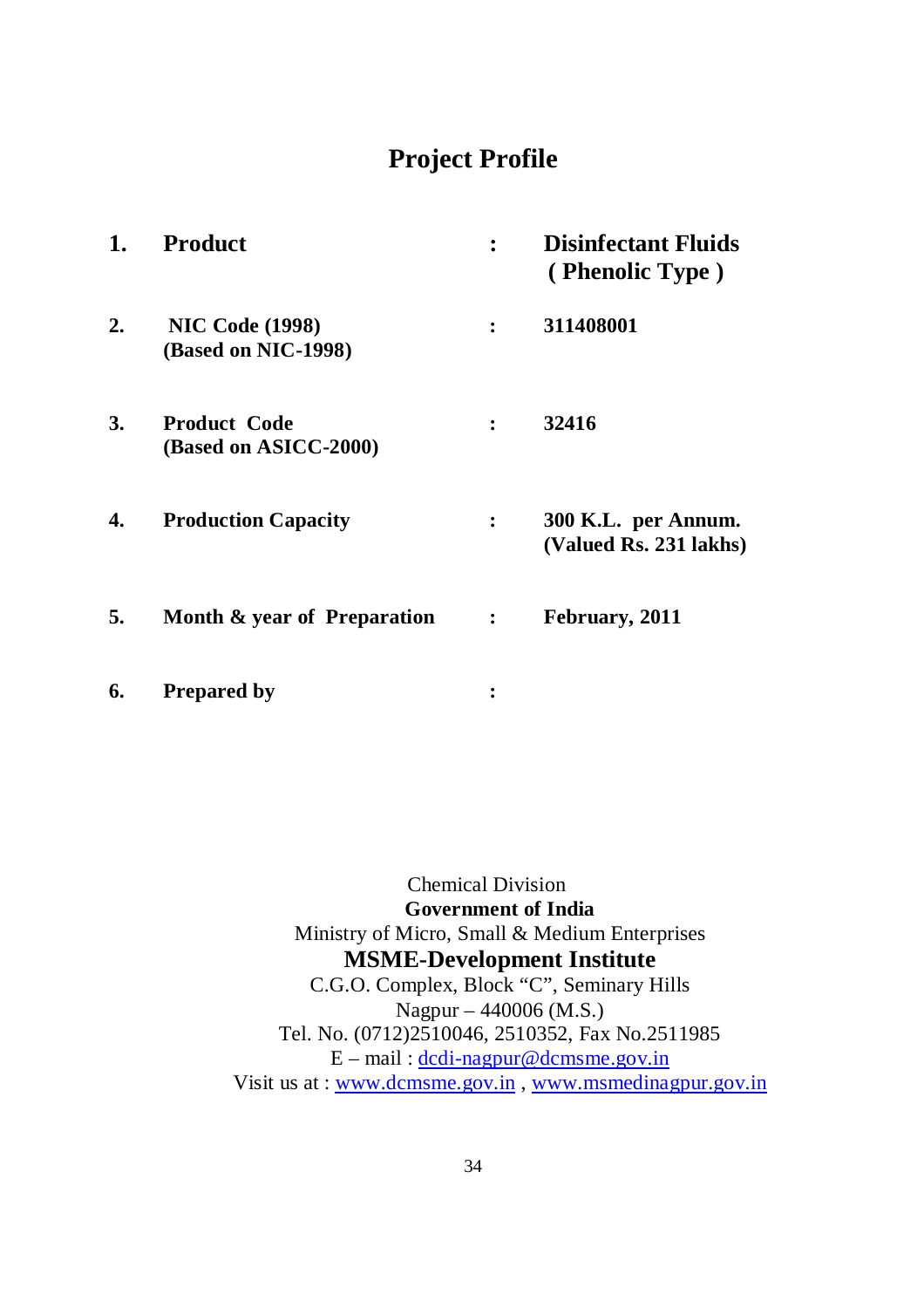# **Project Profile**

| 1. | <b>Product</b>                                |                | <b>Disinfectant Fluids</b><br>(Phenolic Type) |
|----|-----------------------------------------------|----------------|-----------------------------------------------|
| 2. | <b>NIC Code (1998)</b><br>(Based on NIC-1998) | $\ddot{\cdot}$ | 311408001                                     |
| 3. | <b>Product Code</b><br>(Based on ASICC-2000)  | $\ddot{\cdot}$ | 32416                                         |
| 4. | <b>Production Capacity</b>                    | $\ddot{\cdot}$ | 300 K.L. per Annum.<br>(Valued Rs. 231 lakhs) |
| 5. | Month & year of Preparation                   | $\ddot{\cdot}$ | February, 2011                                |

**6. Prepared by :**

Chemical Division **Government of India** Ministry of Micro, Small & Medium Enterprises **MSME-Development Institute** C.G.O. Complex, Block "C", Seminary Hills Nagpur – 440006 (M.S.) Tel. No. (0712)2510046, 2510352, Fax No.2511985  $E$  – mail:  $\frac{d}{d}$  dc $\frac{d}{d}$  -nagpur@dcmsme.gov.in Visit us at : www.dcmsme.gov.in , www.msmedinagpur.gov.in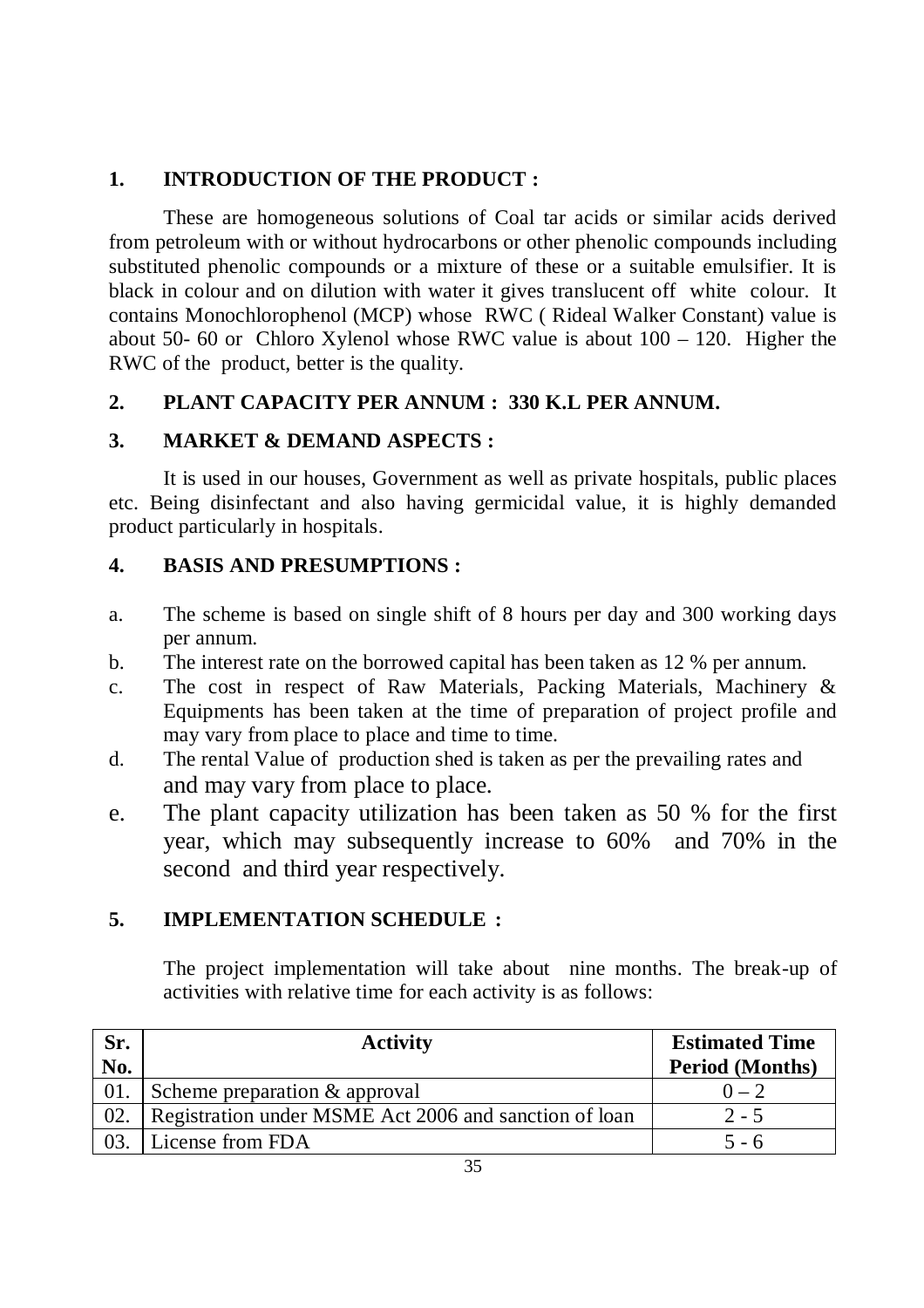## **1. INTRODUCTION OF THE PRODUCT :**

These are homogeneous solutions of Coal tar acids or similar acids derived from petroleum with or without hydrocarbons or other phenolic compounds including substituted phenolic compounds or a mixture of these or a suitable emulsifier. It is black in colour and on dilution with water it gives translucent off white colour. It contains Monochlorophenol (MCP) whose RWC ( Rideal Walker Constant) value is about 50- 60 or Chloro Xylenol whose RWC value is about  $100 - 120$ . Higher the RWC of the product, better is the quality.

## **2. PLANT CAPACITY PER ANNUM : 330 K.L PER ANNUM.**

## **3. MARKET & DEMAND ASPECTS :**

It is used in our houses, Government as well as private hospitals, public places etc. Being disinfectant and also having germicidal value, it is highly demanded product particularly in hospitals.

## **4. BASIS AND PRESUMPTIONS :**

- a. The scheme is based on single shift of 8 hours per day and 300 working days per annum.
- b. The interest rate on the borrowed capital has been taken as 12 % per annum.
- c. The cost in respect of Raw Materials, Packing Materials, Machinery & Equipments has been taken at the time of preparation of project profile and may vary from place to place and time to time.
- d. The rental Value of production shed is taken as per the prevailing rates and and may vary from place to place.
- e. The plant capacity utilization has been taken as 50 % for the first year, which may subsequently increase to 60% and 70% in the second and third year respectively.

## **5. IMPLEMENTATION SCHEDULE :**

The project implementation will take about nine months. The break-up of activities with relative time for each activity is as follows:

| Sr. | <b>Activity</b>                                       | <b>Estimated Time</b>  |
|-----|-------------------------------------------------------|------------------------|
| No. |                                                       | <b>Period (Months)</b> |
| 01. | Scheme preparation $\&$ approval                      | $0 - 2$                |
| 02. | Registration under MSME Act 2006 and sanction of loan | $2 - 5$                |
| 03  | License from FDA                                      | $5 - 6$                |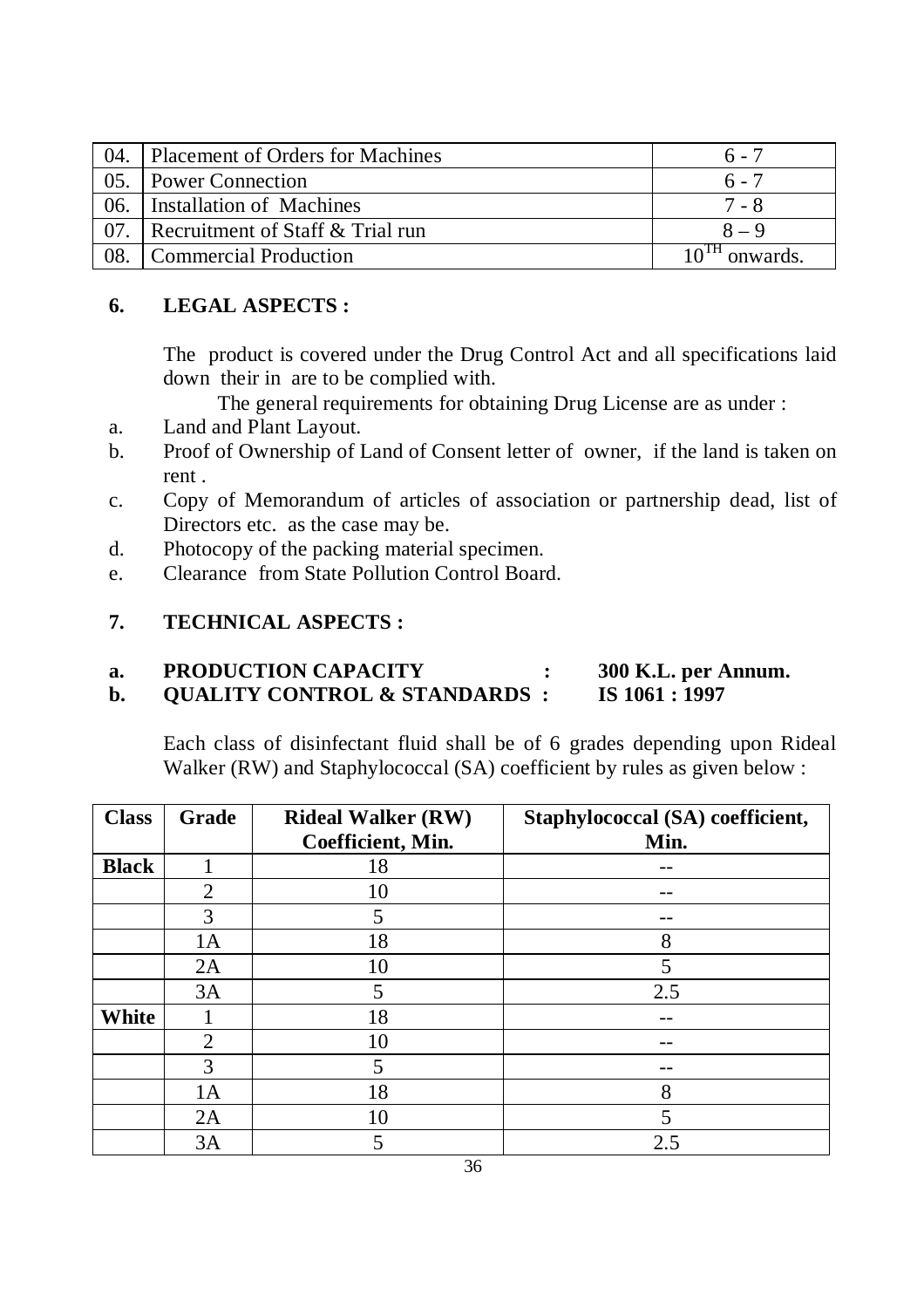| 04. | Placement of Orders for Machines | $6 - 7$                       |
|-----|----------------------------------|-------------------------------|
| 05. | <b>Power Connection</b>          | $6 - 7$                       |
| 06. | Installation of Machines         | 7 - 8                         |
| 07  | Recruitment of Staff & Trial run | $8 - 9$                       |
| 08  | Commercial Production            | $10^{1H}$ $\alpha$<br>onwards |

## **6. LEGAL ASPECTS :**

The product is covered under the Drug Control Act and all specifications laid down their in are to be complied with.

- The general requirements for obtaining Drug License are as under :
- a. Land and Plant Layout.
- b. Proof of Ownership of Land of Consent letter of owner, if the land is taken on rent .
- c. Copy of Memorandum of articles of association or partnership dead, list of Directors etc. as the case may be.
- d. Photocopy of the packing material specimen.
- e. Clearance from State Pollution Control Board.

## **7. TECHNICAL ASPECTS :**

- **a. PRODUCTION CAPACITY : 300 K.L. per Annum.**
- **b. QUALITY CONTROL & STANDARDS : IS 1061 : 1997**

Each class of disinfectant fluid shall be of 6 grades depending upon Rideal Walker (RW) and Staphylococcal (SA) coefficient by rules as given below :

| <b>Class</b> | Grade          | <b>Rideal Walker (RW)</b><br>Coefficient, Min. | Staphylococcal (SA) coefficient,<br>Min. |
|--------------|----------------|------------------------------------------------|------------------------------------------|
| <b>Black</b> |                | 18                                             |                                          |
|              | $\overline{2}$ | 10                                             |                                          |
|              | 3              | 5                                              |                                          |
|              | 1A             | 18                                             | 8                                        |
|              | 2A             | 10                                             | 5                                        |
|              | 3A             | 5                                              | 2.5                                      |
| <b>White</b> |                | 18                                             |                                          |
|              | $\overline{2}$ | 10                                             |                                          |
|              | 3              | 5                                              |                                          |
|              | 1A             | 18                                             | 8                                        |
|              | 2A             | 10                                             | 5                                        |
|              | 3A             | 5                                              | 2.5                                      |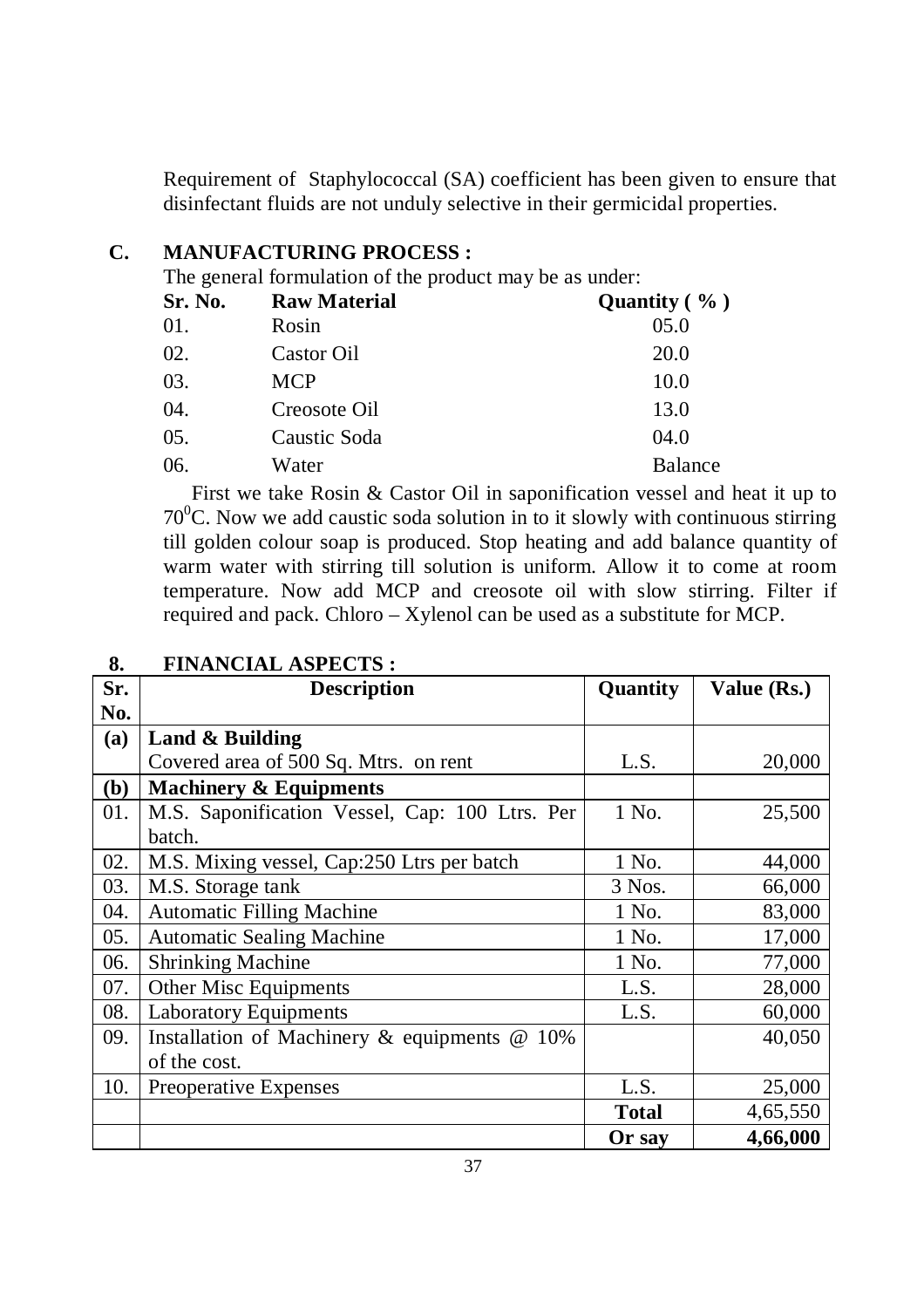Requirement of Staphylococcal (SA) coefficient has been given to ensure that disinfectant fluids are not unduly selective in their germicidal properties.

#### **C. MANUFACTURING PROCESS :**

The general formulation of the product may be as under:

| Sr. No. | <b>Raw Material</b> | Quantity $(\% )$ |
|---------|---------------------|------------------|
| 01.     | Rosin               | 05.0             |
| 02.     | Castor Oil          | 20.0             |
| 03.     | <b>MCP</b>          | 10.0             |
| 04.     | Creosote Oil        | 13.0             |
| 05.     | Caustic Soda        | 04.0             |
| 06.     | Water               | <b>Balance</b>   |

First we take Rosin & Castor Oil in saponification vessel and heat it up to  $70^{\circ}$ C. Now we add caustic soda solution in to it slowly with continuous stirring till golden colour soap is produced. Stop heating and add balance quantity of warm water with stirring till solution is uniform. Allow it to come at room temperature. Now add MCP and creosote oil with slow stirring. Filter if required and pack. Chloro – Xylenol can be used as a substitute for MCP.

| Sr. | <b>Description</b>                                 | Quantity     | Value (Rs.) |
|-----|----------------------------------------------------|--------------|-------------|
| No. |                                                    |              |             |
| (a) | Land & Building                                    |              |             |
|     | Covered area of 500 Sq. Mtrs. on rent              | L.S.         | 20,000      |
| (b) | <b>Machinery &amp; Equipments</b>                  |              |             |
| 01. | M.S. Saponification Vessel, Cap: 100 Ltrs. Per     | 1 No.        | 25,500      |
|     | batch.                                             |              |             |
| 02. | M.S. Mixing vessel, Cap:250 Ltrs per batch         | 1 No.        | 44,000      |
| 03. | M.S. Storage tank                                  | 3 Nos.       | 66,000      |
| 04. | <b>Automatic Filling Machine</b>                   | 1 No.        | 83,000      |
| 05. | <b>Automatic Sealing Machine</b>                   | 1 No.        | 17,000      |
| 06. | <b>Shrinking Machine</b>                           | 1 No.        | 77,000      |
| 07. | Other Misc Equipments                              | L.S.         | 28,000      |
| 08. | <b>Laboratory Equipments</b>                       | L.S.         | 60,000      |
| 09. | Installation of Machinery $\&$ equipments $\&$ 10% |              | 40,050      |
|     | of the cost.                                       |              |             |
| 10. | <b>Preoperative Expenses</b>                       | L.S.         | 25,000      |
|     |                                                    | <b>Total</b> | 4,65,550    |
|     |                                                    | Or say       | 4,66,000    |

## **8. FINANCIAL ASPECTS :**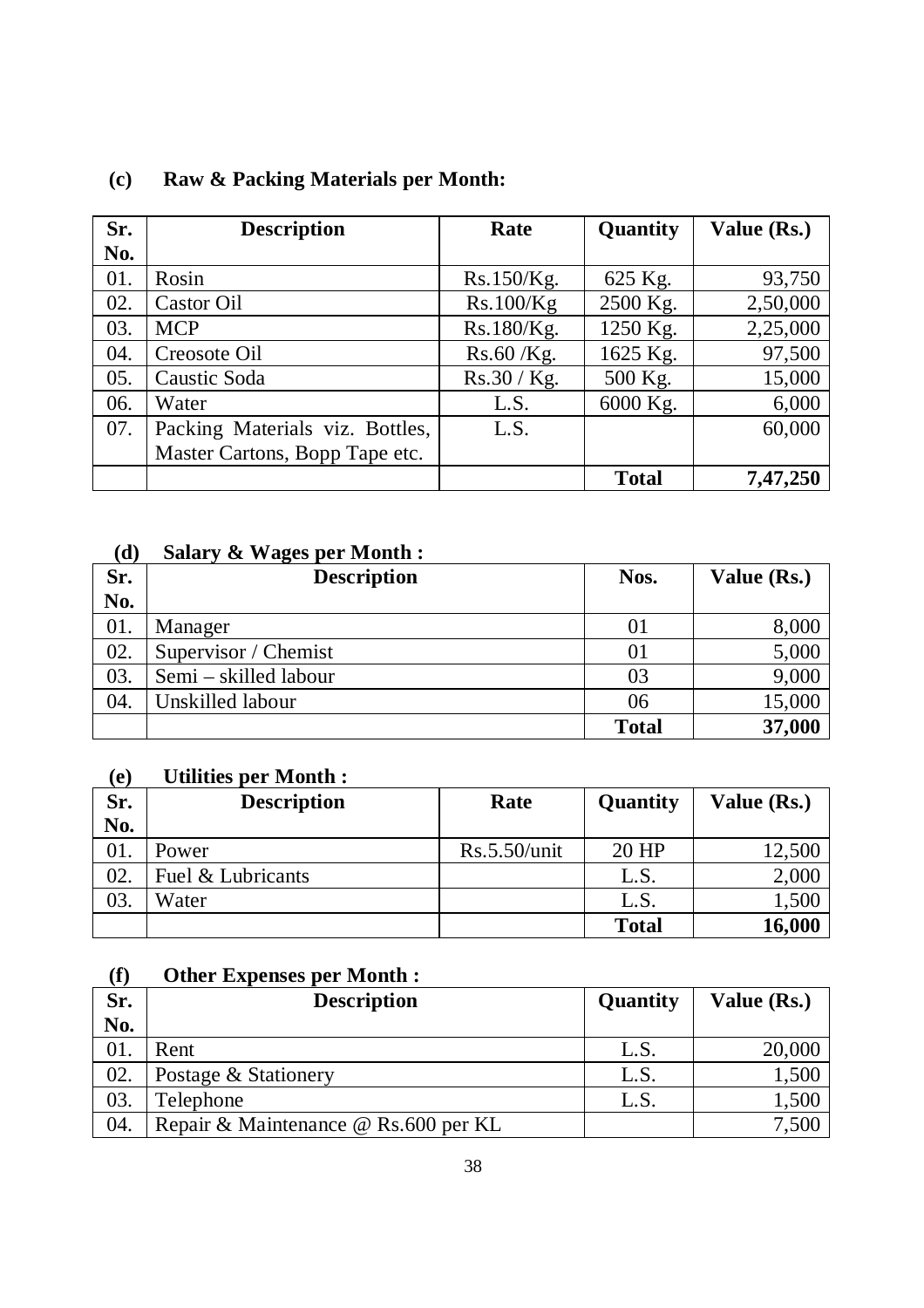| Sr. | <b>Description</b>              | Rate         | Quantity     | Value (Rs.) |
|-----|---------------------------------|--------------|--------------|-------------|
| No. |                                 |              |              |             |
| 01. | Rosin                           | Rs.150/Kg.   | 625 Kg.      | 93,750      |
| 02. | Castor Oil                      | Rs.100/Kg    | 2500 Kg.     | 2,50,000    |
| 03. | <b>MCP</b>                      | Rs.180/Kg.   | 1250 Kg.     | 2,25,000    |
| 04. | Creosote Oil                    | $Rs.60$ /Kg. | 1625 Kg.     | 97,500      |
| 05. | Caustic Soda                    | Rs.30 / Kg.  | 500 Kg.      | 15,000      |
| 06. | Water                           | L.S.         | 6000 Kg.     | 6,000       |
| 07. | Packing Materials viz. Bottles, | L.S.         |              | 60,000      |
|     | Master Cartons, Bopp Tape etc.  |              |              |             |
|     |                                 |              | <b>Total</b> | 7,47,250    |

## **(c) Raw & Packing Materials per Month:**

## **(d) Salary & Wages per Month :**

| Sr. | <b>Description</b>    | Nos.         | Value (Rs.) |
|-----|-----------------------|--------------|-------------|
| No. |                       |              |             |
| 01. | Manager               |              | 8,000       |
| 02. | Supervisor / Chemist  |              | 5,000       |
| 03. | Semi – skilled labour | 03           | 9,000       |
| 04. | Unskilled labour      | 06           | 15,000      |
|     |                       | <b>Total</b> | 37,000      |

#### **(e) Utilities per Month :**

| Sr. | <b>Description</b> | Rate         | Quantity     | Value (Rs.) |
|-----|--------------------|--------------|--------------|-------------|
| No. |                    |              |              |             |
| 01. | Power              | Rs.5.50/unit | 20 HP        | 12,500      |
| 02. | Fuel & Lubricants  |              | L.S.         | 2,000       |
| 03. | Water              |              | L.S.         | 1,500       |
|     |                    |              | <b>Total</b> | 16,000      |

## **(f) Other Expenses per Month :**

| Sr. | <b>Description</b>                   | Quantity | Value (Rs.) |
|-----|--------------------------------------|----------|-------------|
| No. |                                      |          |             |
| 01. | Rent                                 | L.S.     | 20,000      |
| 02. | Postage & Stationery                 | L.S.     | 1,500       |
| 03. | Telephone                            | L.S.     | 1,500       |
| 04. | Repair & Maintenance @ Rs.600 per KL |          | 7.500       |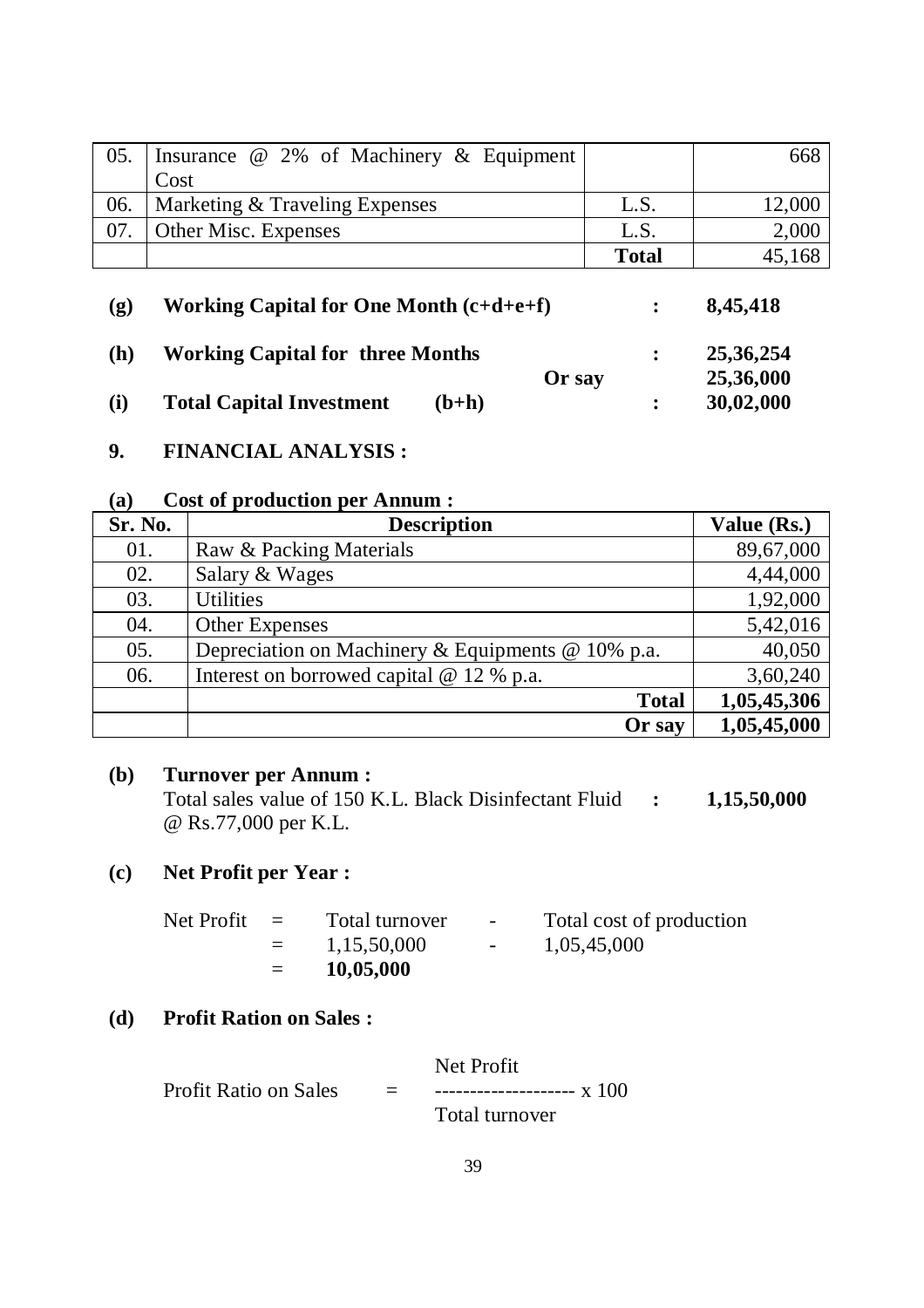| 05.                         | Insurance @ 2% of Machinery & Equipment   |              | 668      |
|-----------------------------|-------------------------------------------|--------------|----------|
|                             | Cost                                      |              |          |
| 06.                         | Marketing & Traveling Expenses            | L.S.         | 12,000   |
| 07.                         | Other Misc. Expenses                      | L.S.         | 2,000    |
|                             |                                           | <b>Total</b> | 45,168   |
| $\left( \mathbf{g} \right)$ | Working Capital for One Month $(c+d+e+f)$ |              | 8,45,418 |

**(h) Working Capital for three Months : 25,36,254 Or say 25,36,000 (i) Total Capital Investment (b+h) : 30,02,000**

#### **9. FINANCIAL ANALYSIS :**

#### **(a) Cost of production per Annum :**

| Sr. No. | <b>Description</b>                                       | Value (Rs.) |
|---------|----------------------------------------------------------|-------------|
| 01.     | Raw & Packing Materials                                  | 89,67,000   |
| 02.     | Salary & Wages                                           | 4,44,000    |
| 03.     | <b>Utilities</b>                                         | 1,92,000    |
| 04.     | <b>Other Expenses</b>                                    | 5,42,016    |
| 05.     | Depreciation on Machinery & Equipments $\omega$ 10% p.a. | 40,050      |
| 06.     | Interest on borrowed capital $@ 12 % p.a.$               | 3,60,240    |
|         | <b>Total</b>                                             | 1,05,45,306 |
|         | Or say                                                   | 1,05,45,000 |

#### **(b) Turnover per Annum :**

Total sales value of 150 K.L. Black Disinfectant Fluid **: 1,15,50,000** @ Rs.77,000 per K.L.

## **(c) Net Profit per Year :**

| Net Profit | $\equiv$          | Total turnover | $\sim$ | Total cost of production |  |
|------------|-------------------|----------------|--------|--------------------------|--|
|            | $\equiv$ $\equiv$ | 1,15,50,000    |        | 1,05,45,000              |  |
|            | $=$               | 10,05,000      |        |                          |  |

## **(d) Profit Ration on Sales :**

Net Profit Profit Ratio on Sales = --------------------- x 100 Total turnover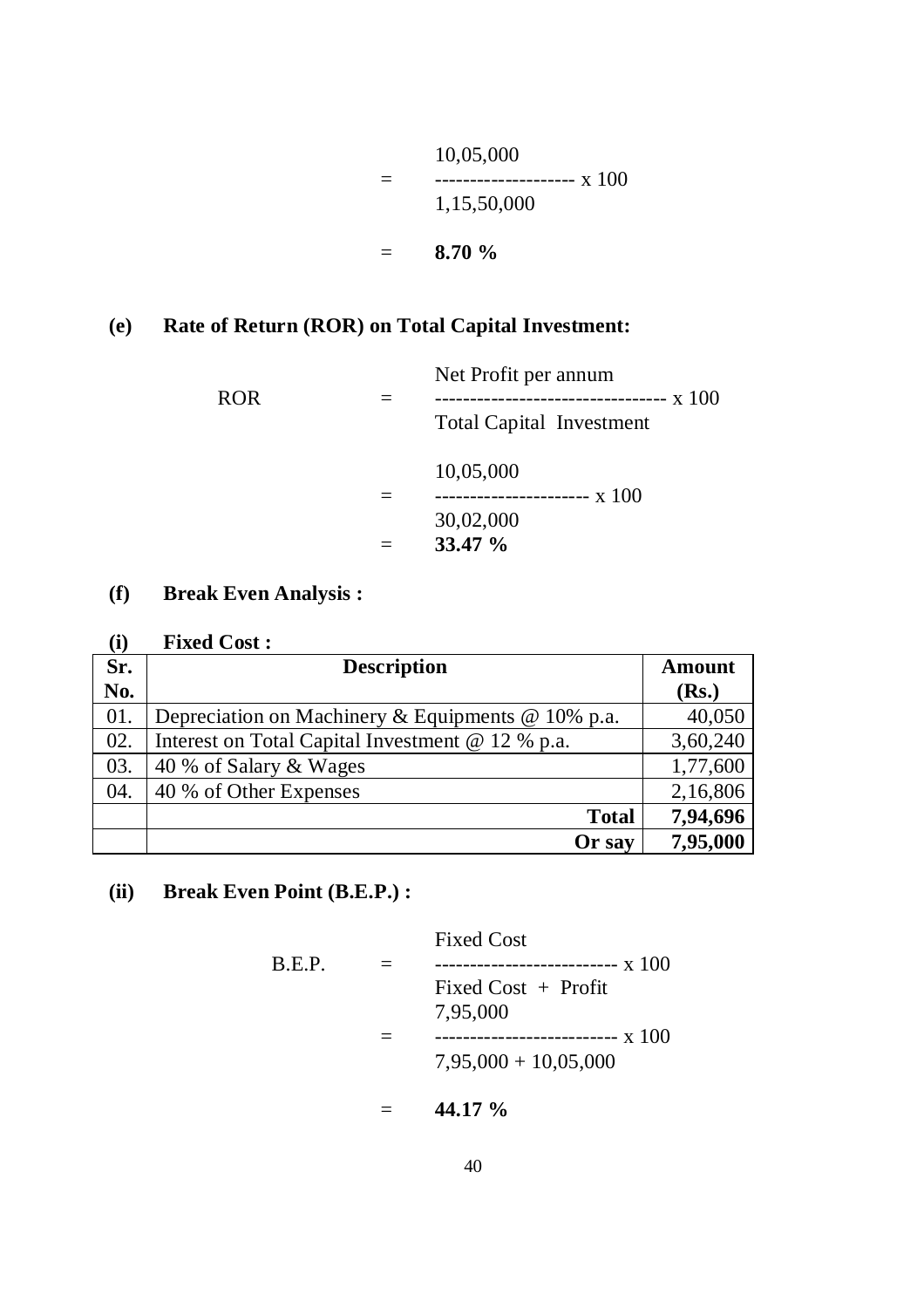10,05,000  $=$   $\frac{1}{2}$   $\frac{1}{2}$   $\frac{1}{2}$   $\frac{1}{2}$   $\frac{1}{2}$   $\frac{1}{2}$   $\frac{1}{2}$   $\frac{1}{2}$   $\frac{1}{2}$   $\frac{1}{2}$   $\frac{1}{2}$   $\frac{1}{2}$   $\frac{1}{2}$   $\frac{1}{2}$   $\frac{1}{2}$   $\frac{1}{2}$   $\frac{1}{2}$   $\frac{1}{2}$   $\frac{1}{2}$   $\frac{1}{2}$   $\frac{1}{2}$   $\frac{1}{2$ 1,15,50,000 = **8.70 %**

## **(e) Rate of Return (ROR) on Total Capital Investment:**

| Net Profit per annum            |  |
|---------------------------------|--|
| <b>Total Capital Investment</b> |  |
| 10,05,000                       |  |
|                                 |  |
| 30,02,000                       |  |
| $33.47 \%$                      |  |
|                                 |  |

## **(f) Break Even Analysis :**

| (i) | <b>Fixed Cost:</b>                                       |          |
|-----|----------------------------------------------------------|----------|
| Sr. | <b>Description</b>                                       | Amount   |
| No. |                                                          | (Rs.)    |
| 01. | Depreciation on Machinery & Equipments $\omega$ 10% p.a. | 40,050   |
| 02. | Interest on Total Capital Investment @ 12 % p.a.         | 3,60,240 |
| 03. | 40 % of Salary & Wages                                   | 1,77,600 |
| 04. | 40 % of Other Expenses                                   | 2,16,806 |
|     | <b>Total</b>                                             | 7,94,696 |
|     | Or say                                                   | 7,95,000 |

## **(ii) Break Even Point (B.E.P.) :**

|        | <b>Fixed Cost</b>      |
|--------|------------------------|
| B.E.P. |                        |
|        | Fixed Cost $+$ Profit  |
|        | 7,95,000               |
|        | -------------- x 100   |
|        | $7,95,000 + 10,05,000$ |
|        |                        |

= **44.17 %**